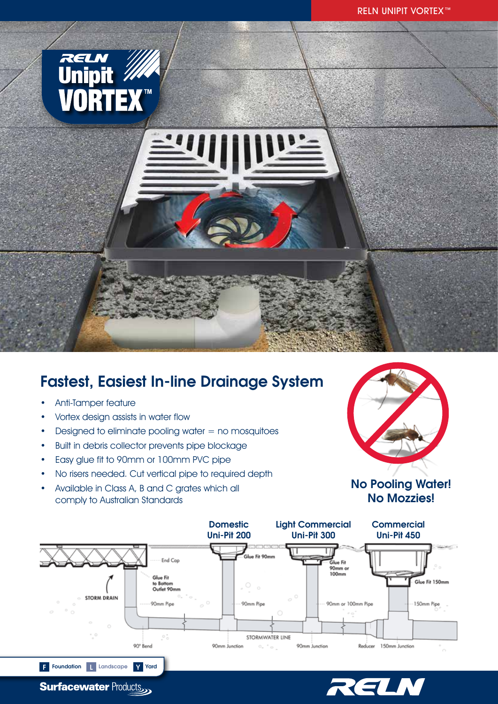

# Fastest, Easiest In-line Drainage System

• Anti-Tamper feature

**Surfacewater Products** 

- Vortex design assists in water flow
- Designed to eliminate pooling water  $=$  no mosquitoes
- Built in debris collector prevents pipe blockage
- Easy glue fit to 90mm or 100mm PVC pipe
- No risers needed. Cut vertical pipe to required depth
- Available in Class A, B and C grates which all comply to Australian Standards



### No Pooling Water! No Mozzies!



RELN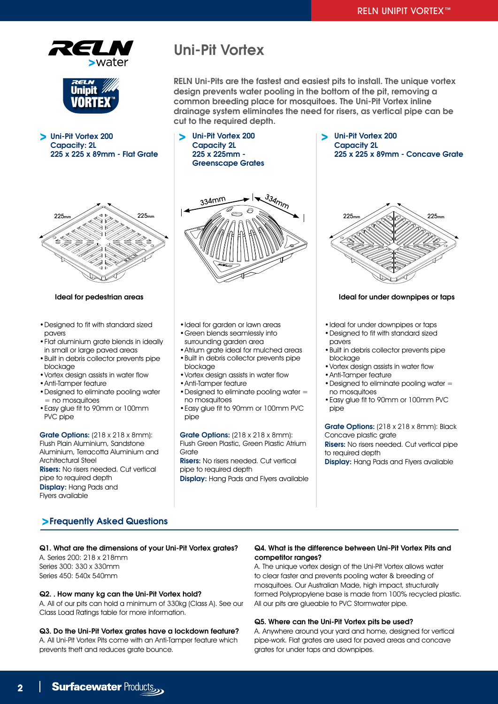



Uni-Pit Vortex 200

## Uni-Pit Vortex

Uni-Pit Vortex 200 Capacity 2L 225 x 225mm - Greenscape Grates

RELN Uni-Pits are the fastest and easiest pits to install. The unique vortex design prevents water pooling in the bottom of the pit, removing a common breeding place for mosquitoes. The Uni-Pit Vortex inline drainage system eliminates the need for risers, as vertical pipe can be cut to the required depth.





- •Designed to fit with standard sized pavers
- •Flat aluminium grate blends in ideally in small or large paved areas
- •Built in debris collector prevents pipe blockage
- •Vortex design assists in water flow
- •Anti-Tamper feature
- •Designed to eliminate pooling water  $=$  no mosquitoes
- •Easy glue fit to 90mm or 100mm PVC pipe

Grate Options: (218 x 218 x 8mm): Flush Plain Aluminium, Sandstone Aluminium, Terracotta Aluminium and Architectural Steel Risers: No risers needed. Cut vertical pipe to required depth Display: Hang Pads and Flyers available



- •Ideal for garden or lawn areas
- •Green blends seamlessly into surrounding garden area
- •Atrium grate ideal for mulched areas
- •Built in debris collector prevents pipe blockage
- •Vortex design assists in water flow •Anti-Tamper feature
- •Designed to eliminate pooling water = no mosquitoes
- •Easy glue fit to 90mm or 100mm PVC pipe

Grate Options: (218 x 218 x 8mm): Flush Green Plastic, Green Plastic Atrium Grate

Risers: No risers needed. Cut vertical pipe to required depth Display: Hang Pads and Flyers available



Uni-Pit Vortex 200 Capacity 2L



#### Ideal for pedestrian areas **Ideal for under downpipes or taps** Ideal for under downpipes or taps

- •Ideal for under downpipes or taps
- •Designed to fit with standard sized pavers
- •Built in debris collector prevents pipe blockage
- •Vortex design assists in water flow
- •Anti-Tamper feature
- •Designed to eliminate pooling water = no mosquitoes
- •Easy glue fit to 90mm or 100mm PVC pipe

Grate Options: (218 x 218 x 8mm): Black Concave plastic grate Risers: No risers needed. Cut vertical pipe to required depth Display: Hang Pads and Flyers available

### Frequently Asked Questions

#### Q1. What are the dimensions of your Uni-Pit Vortex grates?

A. Series 200: 218 x 218mm Series 300: 330 x 330mm Series 450: 540x 540mm

#### Q2. . How many kg can the Uni-Pit Vortex hold?

A. All of our pits can hold a minimum of 330kg (Class A). See our Class Load Ratings table for more information.

#### Q3. Do the Uni-Pit Vortex grates have a lockdown feature? A. All Uni-Pit Vortex Pits come with an Anti-Tamper feature which

prevents theft and reduces grate bounce.

#### Q4. What is the difference between Uni-Pit Vortex Pits and competitor ranges?

A. The unique vortex design of the Uni-Pit Vortex allows water to clear faster and prevents pooling water & breeding of mosquitoes. Our Australian Made, high impact, structurally formed Polypropylene base is made from 100% recycled plastic. All our pits are glueable to PVC Stormwater pipe.

#### Q5. Where can the Uni-Pit Vortex pits be used?

A. Anywhere around your yard and home, designed for vertical pipe-work. Flat grates are used for paved areas and concave grates for under taps and downpipes.